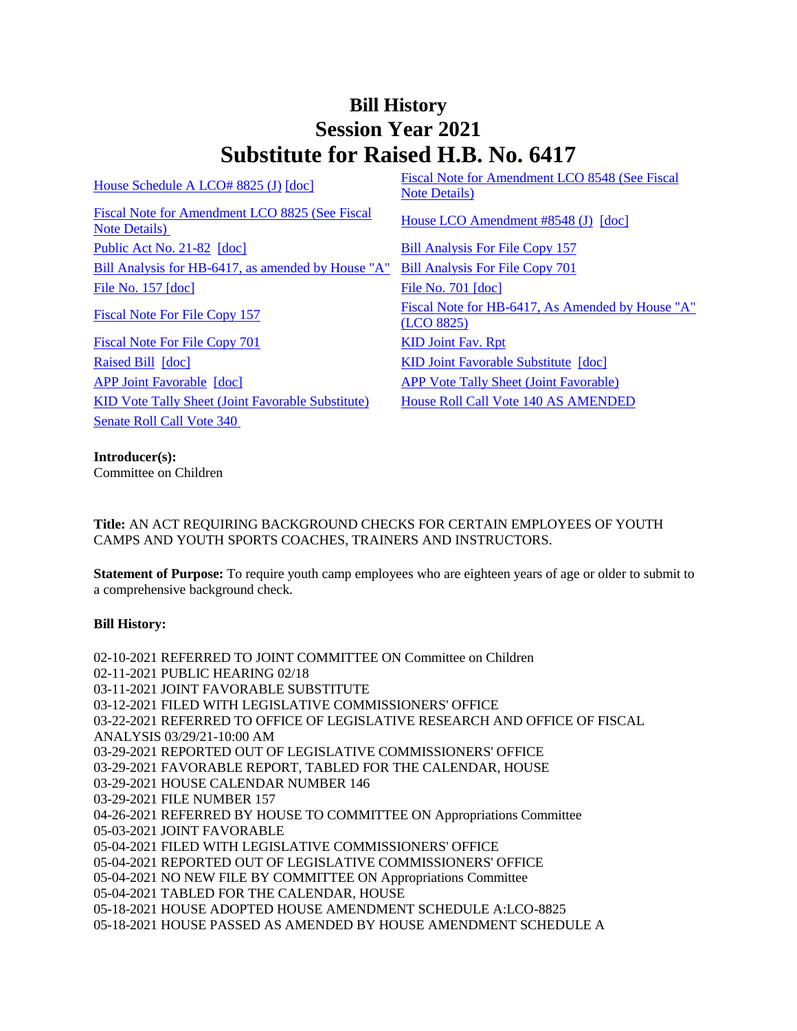## **Bill History Session Year 2021 Substitute for Raised H.B. No. 6417**

| House Schedule A LCO# 8825 (J) [doc]                            | Fiscal Note for Amendment LCO 8548 (See Fiscal<br><b>Note Details</b> ) |
|-----------------------------------------------------------------|-------------------------------------------------------------------------|
| Fiscal Note for Amendment LCO 8825 (See Fiscal<br>Note Details) | House LCO Amendment #8548 (J) [doc]                                     |
| Public Act No. 21-82 [doc]                                      | <b>Bill Analysis For File Copy 157</b>                                  |
| Bill Analysis for HB-6417, as amended by House "A"              | <b>Bill Analysis For File Copy 701</b>                                  |
| File No. $157$ $\lceil \text{doc} \rceil$                       | File No. 701 [doc]                                                      |
| <b>Fiscal Note For File Copy 157</b>                            | Fiscal Note for HB-6417, As Amended by House "A"<br>(LCO 8825)          |
| Fiscal Note For File Copy 701                                   | <b>KID Joint Fav. Rpt</b>                                               |
| Raised Bill [doc]                                               | KID Joint Favorable Substitute [doc]                                    |
| <b>APP Joint Favorable [doc]</b>                                | <b>APP Vote Tally Sheet (Joint Favorable)</b>                           |
| <b>KID Vote Tally Sheet (Joint Favorable Substitute)</b>        | <b>House Roll Call Vote 140 AS AMENDED</b>                              |
| Senate Roll Call Vote 340                                       |                                                                         |
|                                                                 |                                                                         |

**Introducer(s):**

Committee on Children

**Title:** AN ACT REQUIRING BACKGROUND CHECKS FOR CERTAIN EMPLOYEES OF YOUTH CAMPS AND YOUTH SPORTS COACHES, TRAINERS AND INSTRUCTORS.

**Statement of Purpose:** To require youth camp employees who are eighteen years of age or older to submit to a comprehensive background check.

## **Bill History:**

02-10-2021 REFERRED TO JOINT COMMITTEE ON Committee on Children 02-11-2021 PUBLIC HEARING 02/18 03-11-2021 JOINT FAVORABLE SUBSTITUTE 03-12-2021 FILED WITH LEGISLATIVE COMMISSIONERS' OFFICE 03-22-2021 REFERRED TO OFFICE OF LEGISLATIVE RESEARCH AND OFFICE OF FISCAL ANALYSIS 03/29/21-10:00 AM 03-29-2021 REPORTED OUT OF LEGISLATIVE COMMISSIONERS' OFFICE 03-29-2021 FAVORABLE REPORT, TABLED FOR THE CALENDAR, HOUSE 03-29-2021 HOUSE CALENDAR NUMBER 146 03-29-2021 FILE NUMBER 157 04-26-2021 REFERRED BY HOUSE TO COMMITTEE ON Appropriations Committee 05-03-2021 JOINT FAVORABLE 05-04-2021 FILED WITH LEGISLATIVE COMMISSIONERS' OFFICE 05-04-2021 REPORTED OUT OF LEGISLATIVE COMMISSIONERS' OFFICE 05-04-2021 NO NEW FILE BY COMMITTEE ON Appropriations Committee 05-04-2021 TABLED FOR THE CALENDAR, HOUSE 05-18-2021 HOUSE ADOPTED HOUSE AMENDMENT SCHEDULE A:LCO-8825 05-18-2021 HOUSE PASSED AS AMENDED BY HOUSE AMENDMENT SCHEDULE A